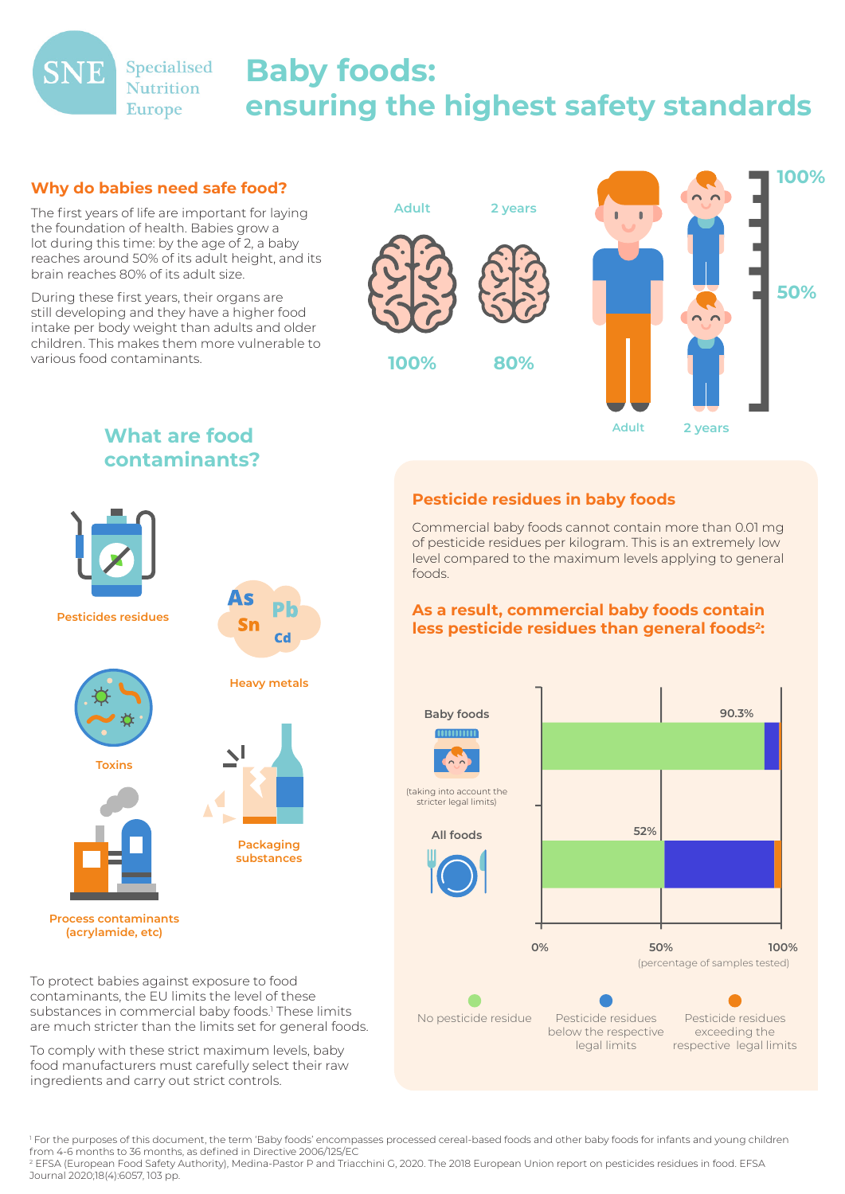

# **Baby foods: ensuring the highest safety standards**

### **Why do babies need safe food?**

The first years of life are important for laying the foundation of health. Babies grow a lot during this time: by the age of 2, a baby reaches around 50% of its adult height, and its brain reaches 80% of its adult size.

During these first years, their organs are still developing and they have a higher food intake per body weight than adults and older children. This makes them more vulnerable to various food contaminants.



**Adult 2 years**

## **What are food contaminants?**



## **Pesticide residues in baby foods**

Commercial baby foods cannot contain more than 0.01 mg of pesticide residues per kilogram. This is an extremely low level compared to the maximum levels applying to general foods.

#### **As a result, commercial baby foods contain**  less pesticide residues than general foods<sup>2</sup>:



To protect babies against exposure to food contaminants, the EU limits the level of these substances in commercial baby foods.<sup>1</sup> These limits are much stricter than the limits set for general foods.

To comply with these strict maximum levels, baby food manufacturers must carefully select their raw ingredients and carry out strict controls.

1 For the purposes of this document, the term 'Baby foods' encompasses processed cereal-based foods and other baby foods for infants and young children from 4-6 months to 36 months, as defined in Directive 2006/125/EC

2 EFSA (European Food Safety Authority), Medina-Pastor P and Triacchini G, 2020. The 2018 European Union report on pesticides residues in food. EFSA Journal 2020;18(4):6057, 103 pp.